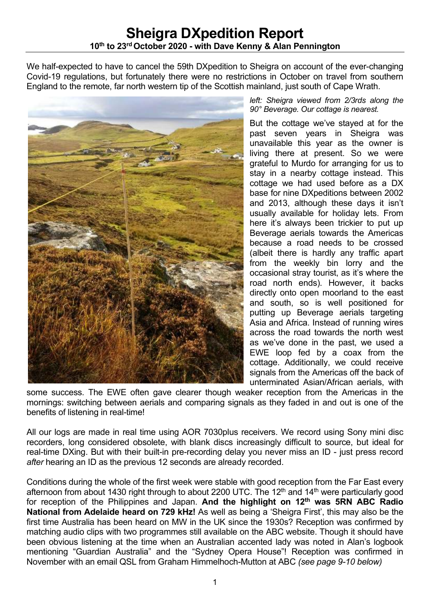We half-expected to have to cancel the 59th DXpedition to Sheigra on account of the ever-changing Covid-19 regulations, but fortunately there were no restrictions in October on travel from southern England to the remote, far north western tip of the Scottish mainland, just south of Cape Wrath.



*left: Sheigra viewed from 2/3rds along the 90° Beverage. Our cottage is nearest.*

But the cottage we've stayed at for the past seven years in Sheigra was unavailable this year as the owner is living there at present. So we were grateful to Murdo for arranging for us to stay in a nearby cottage instead. This cottage we had used before as a DX base for nine DXpeditions between 2002 and 2013, although these days it isn't usually available for holiday lets. From here it's always been trickier to put up Beverage aerials towards the Americas because a road needs to be crossed (albeit there is hardly any traffic apart from the weekly bin lorry and the occasional stray tourist, as it's where the road north ends). However, it backs directly onto open moorland to the east and south, so is well positioned for putting up Beverage aerials targeting Asia and Africa. Instead of running wires across the road towards the north west as we've done in the past, we used a EWE loop fed by a coax from the cottage. Additionally, we could receive signals from the Americas off the back of unterminated Asian/African aerials, with

some success. The EWE often gave clearer though weaker reception from the Americas in the mornings: switching between aerials and comparing signals as they faded in and out is one of the benefits of listening in real-time!

All our logs are made in real time using AOR 7030plus receivers. We record using Sony mini disc recorders, long considered obsolete, with blank discs increasingly difficult to source, but ideal for real-time DXing. But with their built-in pre-recording delay you never miss an ID - just press record *after* hearing an ID as the previous 12 seconds are already recorded.

Conditions during the whole of the first week were stable with good reception from the Far East every afternoon from about 1430 right through to about 2200 UTC. The 12<sup>th</sup> and 14<sup>th</sup> were particularly good for reception of the Philippines and Japan. **And the highlight on 12th was 5RN ABC Radio National from Adelaide heard on 729 kHz!** As well as being a 'Sheigra First', this may also be the first time Australia has been heard on MW in the UK since the 1930s? Reception was confirmed by matching audio clips with two programmes still available on the ABC website. Though it should have been obvious listening at the time when an Australian accented lady was noted in Alan's logbook mentioning "Guardian Australia" and the "Sydney Opera House"! Reception was confirmed in November with an email QSL from Graham Himmelhoch-Mutton at ABC *(see page 9-10 below)*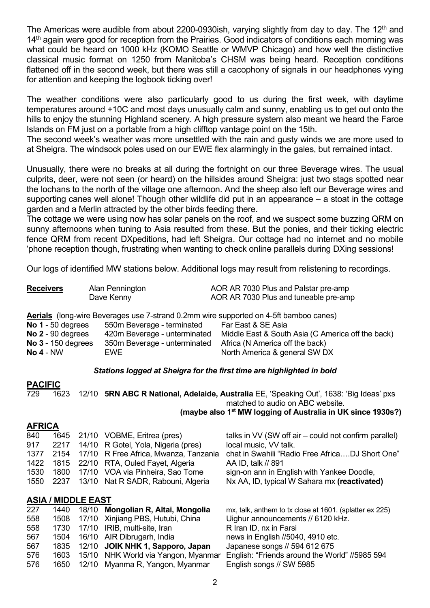The Americas were audible from about 2200-0930ish, varying slightly from day to day. The 12<sup>th</sup> and 14<sup>th</sup> again were good for reception from the Prairies. Good indicators of conditions each morning was what could be heard on 1000 kHz (KOMO Seattle or WMVP Chicago) and how well the distinctive classical music format on 1250 from Manitoba's CHSM was being heard. Reception conditions flattened off in the second week, but there was still a cacophony of signals in our headphones vying for attention and keeping the logbook ticking over!

The weather conditions were also particularly good to us during the first week, with daytime temperatures around +10C and most days unusually calm and sunny, enabling us to get out onto the hills to enjoy the stunning Highland scenery. A high pressure system also meant we heard the Faroe Islands on FM just on a portable from a high clifftop vantage point on the 15th.

The second week's weather was more unsettled with the rain and gusty winds we are more used to at Sheigra. The windsock poles used on our EWE flex alarmingly in the gales, but remained intact.

Unusually, there were no breaks at all during the fortnight on our three Beverage wires. The usual culprits, deer, were not seen (or heard) on the hillsides around Sheigra: just two stags spotted near the lochans to the north of the village one afternoon. And the sheep also left our Beverage wires and supporting canes well alone! Though other wildlife did put in an appearance – a stoat in the cottage garden and a Merlin attracted by the other birds feeding there.

The cottage we were using now has solar panels on the roof, and we suspect some buzzing QRM on sunny afternoons when tuning to Asia resulted from these. But the ponies, and their ticking electric fence QRM from recent DXpeditions, had left Sheigra. Our cottage had no internet and no mobile 'phone reception though, frustrating when wanting to check online parallels during DXing sessions!

Our logs of identified MW stations below. Additional logs may result from relistening to recordings.

| <b>Receivers</b>          | Alan Pennington                                                                              | AOR AR 7030 Plus and Palstar pre-amp              |
|---------------------------|----------------------------------------------------------------------------------------------|---------------------------------------------------|
|                           | Dave Kenny                                                                                   | AOR AR 7030 Plus and tuneable pre-amp             |
|                           | <b>Aerials</b> (long-wire Beverages use 7-strand 0.2mm wire supported on 4-5ft bamboo canes) |                                                   |
| No $1 - 50$ degrees       | 550m Beverage - terminated                                                                   | Far East & SE Asia                                |
| No $2 - 90$ degrees       | 420m Beverage - unterminated                                                                 | Middle East & South Asia (C America off the back) |
| <b>No 3 - 150 degrees</b> | 350m Beverage - unterminated                                                                 | Africa (N America off the back)                   |
| <b>No 4 - NW</b>          | <b>EWE</b>                                                                                   | North America & general SW DX                     |

#### *Stations logged at Sheigra for the first time are highlighted in bold*

#### **PACIFIC**  729 1623 12/10 **5RN ABC R National, Adelaide, Australia** EE, 'Speaking Out', 1638: 'Big Ideas' pxs matched to audio on ABC website. **(maybe also 1st MW logging of Australia in UK since 1930s?)**

### **AFRICA**

| 840  |                           |  | 1645 21/10 VOBME, Eritrea (pres)           | talks in VV (SW off air – could not confirm parallel)   |  |  |  |
|------|---------------------------|--|--------------------------------------------|---------------------------------------------------------|--|--|--|
| 917  |                           |  | 2217 14/10 R Gotel, Yola, Nigeria (pres)   | local music, VV talk.                                   |  |  |  |
| 1377 |                           |  | 2154 17/10 R Free Africa, Mwanza, Tanzania | chat in Swahili "Radio Free AfricaDJ Short One"         |  |  |  |
|      |                           |  | 1422 1815 22/10 RTA, Ouled Fayet, Algeria  | AA ID, talk // 891                                      |  |  |  |
| 1530 | 1800                      |  | 17/10 VOA via Pinheira, Sao Tome           | sign-on ann in English with Yankee Doodle,              |  |  |  |
| 1550 |                           |  | 2237 13/10 Nat R SADR, Rabouni, Algeria    | Nx AA, ID, typical W Sahara mx (reactivated)            |  |  |  |
|      | <b>ASIA / MIDDLE EAST</b> |  |                                            |                                                         |  |  |  |
| 227  | 1440                      |  | 18/10 Mongolian R, Altai, Mongolia         | mx, talk, anthem to tx close at 1601. (splatter ex 225) |  |  |  |
| 558  | 1508                      |  | 17/10 Xinjiang PBS, Hutubi, China          | Uighur announcements // 6120 kHz.                       |  |  |  |

| 558 |  | 1730 17/10 IRIB, multi-site, Iran        | R Iran ID, nx in Farsi                         |
|-----|--|------------------------------------------|------------------------------------------------|
| 567 |  | 1504 16/10 AIR Dibrugarh, India          | news in English //5040, 4910 etc.              |
| 567 |  | 1835 12/10 JOIK NHK 1, Sapporo, Japan    | Japanese songs // 594 612 675                  |
| 576 |  | 1603 15/10 NHK World via Yangon, Myanmar | English: "Friends around the World" //5985 594 |
| 576 |  | 1650 12/10 Myanma R, Yangon, Myanmar     | English songs // SW 5985                       |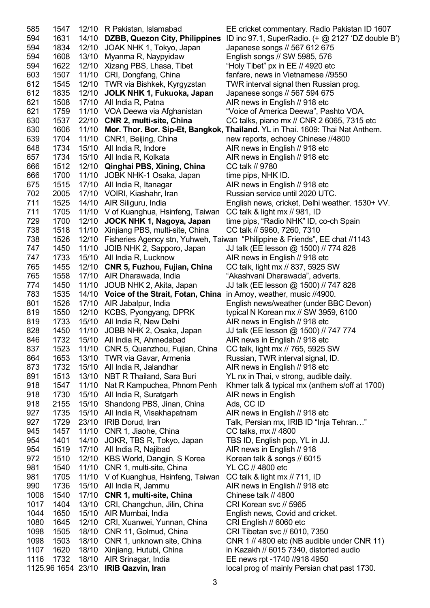585 1547 12/10 R Pakistan, Islamabad EE cricket commentary. Radio Pakistan ID 1607 594 1631 14/10 **DZBB, Quezon City, Philippines** ID inc 97.1, SuperRadio. (+ @ 2127 'DZ double B') 594 1834 12/10 JOAK NHK 1, Tokyo, Japan Japanese songs // 567 612 675 594 1608 13/10 Myanma R, Naypyidaw English songs // SW 5985, 576 594 1622 12/10 Xizang PBS, Lhasa, Tibet "Holy Tibet" px in EE // 4920 etc 603 1507 11/10 CRI, Dongfang, China fanfare, news in Vietnamese //9550 612 1545 12/10 TWR via Bishkek, Kyrgyzstan TWR interval signal then Russian prog. 612 1835 12/10 **JOLK NHK 1, Fukuoka, Japan** Japanese songs // 567 594 675 621 1508 17/10 All India R, Patna AIR news in English // 918 etc 621 1759 11/10 VOA Deewa via Afghanistan "Voice of America Deewa", Pashto VOA. 630 1537 22/10 **CNR 2, multi-site, China** CC talks, piano mx // CNR 2 6065, 7315 etc 630 1606 11/10 **Mor. Thor. Bor. Sip-Et, Bangkok, Thailand.** YL in Thai. 1609: Thai Nat Anthem. 639 1704 11/10 CNR1, Beijing, China new reports, echoey Chinese //4800 648 1734 15/10 All India R, Indore **AIR news in English // 918 etc** 657 1734 15/10 All India R, Kolkata AIR news in English // 918 etc 666 1512 12/10 **Qinghai PBS, Xining, China** CC talk // 9780 666 1700 11/10 JOBK NHK-1 Osaka, Japan time pips, NHK ID. 675 1515 17/10 All India R, Itanagar AIR news in English // 918 etc 702 2005 17/10 VOIRI, Kiashahr, Iran Russian service until 2020 UTC. 711 1525 14/10 AIR Siliguru, India English news, cricket, Delhi weather. 1530+ VV. 711 1705 11/10 V of Kuanghua, Hsinfeng, Taiwan 729 1700 12/10 **JOCK NHK 1, Nagoya, Japan** time pips, "Radio NHK" ID, co-ch Spain 738 1518 11/10 Xinjiang PBS, multi-site, China CC talk // 5960, 7260, 7310 738 1526 12/10 Fisheries Agency stn, Yuhweh, Taiwan "Philippine & Friends", EE chat //1143 747 1450 11/10 JOIB NHK 2, Sapporo, Japan JJ talk (EE lesson @ 1500) // 774 828 747 1733 15/10 All India R, Lucknow AIR news in English // 918 etc 765 1455 12/10 **CNR 5, Fuzhou, Fujian, China** CC talk, light mx // 837, 5925 SW 765 1558 17/10 AIR Dharawada, India "Akashvani Dharawada", adverts. 774 1450 11/10 JOUB NHK 2, Akita, Japan JJ talk (EE lesson @ 1500) // 747 828 783 1535 14/10 **Voice of the Strait, Fotan, China** in Amoy, weather, music //4900. 801 1526 17/10 AIR Jabalpur, India English news/weather (under BBC Devon) 819 1550 12/10 KCBS, Pyongyang, DPRK typical N Korean mx // SW 3959, 6100 819 1733 15/10 All India R, New Delhi AIR news in English // 918 etc 828 1450 11/10 JOBB NHK 2, Osaka, Japan JJ talk (EE lesson @ 1500) // 747 774 846 1732 15/10 All India R, Ahmedabad AIR news in English // 918 etc 837 1523 11/10 CNR 5, Quanzhou, Fujian, China CC talk, light mx // 765, 5925 SW 864 1653 13/10 TWR via Gavar, Armenia Russian, TWR interval signal, ID. 873 1732 15/10 All India R, Jalandhar AIR news in English // 918 etc 891 1513 13/10 NBT R Thailand, Sara Buri YL nx in Thai, v strong, audible daily. 918 1547 11/10 Nat R Kampuchea, Phnom Penh Khmer talk & typical mx (anthem s/off at 1700) 918 1730 15/10 All India R, Suratgarh AIR news in English 918 2155 15/10 Shandong PBS, Jinan, China Ads, CC ID 927 1735 15/10 All India R, Visakhapatnam AIR news in English // 918 etc 927 1729 23/10 IRIB Dorud, Iran Talk, Persian mx, IRIB ID "Inja Tehran..." 945 1457 11/10 CNR 1, Jiaohe, China CC talks, mx // 4800 954 1401 14/10 JOKR, TBS R, Tokyo, Japan TBS ID, English pop, YL in JJ. 954 1519 17/10 All India R, Najibad AIR news in English // 918 972 1510 12/10 KBS World, Dangjin, S Korea Korean talk & songs // 6015 981 1540 11/10 CNR 1, multi-site, China YL CC // 4800 etc 981 1705 11/10 V of Kuanghua, Hsinfeng, Taiwan CC talk & light mx // 711, ID<br>990 1736 15/10 All India R, Jammu **AIR news in English // 918** e 990 1736 15/10 All India R, Jammu AIR news in English // 918 etc 1008 1540 17/10 **CNR 1, multi-site, China** Chinese talk // 4800 1017 1404 13/10 CRI, Changchun, Jilin, China CRI Korean svc // 5965 1044 1650 15/10 AIR Mumbai, India English news, Covid and cricket. 1080 1645 12/10 CRI, Xuanwei, Yunnan, China CRI English // 6060 etc 1098 1505 18/10 CNR 11, Golmud, China CRI Tibetan svc // 6010, 7350 1098 1503 18/10 CNR 1, unknown site, China CNR 1 // 4800 etc (NB audible under CNR 11) 1107 1620 18/10 Xinjiang, Hutubi, China in Kazakh // 6015 7340, distorted audio 1116 1732 18/10 AIR Srinagar, India EE news rpt -1740 //918 4950 1125.96 1654 23/10 **IRIB Qazvin, Iran** local prog of mainly Persian chat past 1730.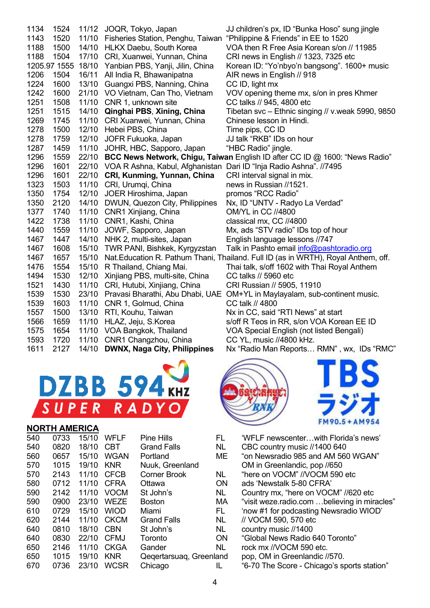| 1134 | 1524         |       | 11/12 JOQR, Tokyo, Japan                                                 | JJ children's px, ID "Bunka Hoso" sung jingle                                      |
|------|--------------|-------|--------------------------------------------------------------------------|------------------------------------------------------------------------------------|
| 1143 | 1520         | 11/10 | Fisheries Station, Penghu, Taiwan                                        | "Philippine & Friends" in EE to 1520                                               |
| 1188 | 1500         | 14/10 | <b>HLKX Daebu, South Korea</b>                                           | VOA then R Free Asia Korean s/on // 11985                                          |
| 1188 | 1504         |       | 17/10 CRI, Xuanwei, Yunnan, China                                        | CRI news in English // 1323, 7325 etc                                              |
|      | 1205.97 1555 |       | 18/10 Yanbian PBS, Yanji, Jilin, China                                   | Korean ID: "Yo'nbyo'n bangsong". 1600+ music                                       |
| 1206 | 1504         |       | 16/11 All India R, Bhawanipatna                                          | AIR news in English // 918                                                         |
| 1224 | 1600         |       | 13/10 Guangxi PBS, Nanning, China                                        | CC ID, light mx                                                                    |
| 1242 | 1600         |       | 21/10 VO Vietnam, Can Tho, Vietnam                                       | VOV opening theme mx, s/on in pres Khmer                                           |
| 1251 | 1508         |       | 11/10 CNR 1, unknown site                                                | CC talks // 945, 4800 etc                                                          |
| 1251 | 1515         | 14/10 | Qinghai PBS, Xining, China                                               | Tibetan svc - Ethnic singing // v.weak 5990, 9850                                  |
| 1269 | 1745         | 11/10 | CRI Xuanwei, Yunnan, China                                               | Chinese lesson in Hindi.                                                           |
| 1278 | 1500         | 12/10 | Hebei PBS, China                                                         | Time pips, CC ID                                                                   |
| 1278 | 1759         | 12/10 | JOFR Fukuoka, Japan                                                      | JJ talk "RKB" IDs on hour                                                          |
| 1287 | 1459         | 11/10 | JOHR, HBC, Sapporo, Japan                                                | "HBC Radio" jingle.                                                                |
| 1296 | 1559         |       |                                                                          | 22/10 BCC News Network, Chigu, Taiwan English ID after CC ID @ 1600: "News Radio"  |
| 1296 | 1601         |       | 22/10 VOA R Ashna, Kabul, Afghanistan Dari ID "Inja Radio Ashna". //7495 |                                                                                    |
| 1296 | 1601         |       | 22/10 CRI, Kunming, Yunnan, China                                        | CRI interval signal in mix.                                                        |
| 1323 | 1503         |       | 11/10 CRI, Urumqi, China                                                 | news in Russian //1521.                                                            |
| 1350 | 1754         | 12/10 | JOER Hiroshima, Japan                                                    | promos "RCC Radio"                                                                 |
| 1350 | 2120         | 14/10 | DWUN, Quezon City, Philippines                                           | Nx, ID "UNTV - Radyo La Verdad"                                                    |
| 1377 | 1740         |       | 11/10 CNR1 Xinjiang, China                                               | OM/YL in CC //4800                                                                 |
| 1422 | 1738         |       | 11/10 CNR1, Kashi, China                                                 | classical mx, CC //4800                                                            |
| 1440 | 1559         | 11/10 | JOWF, Sapporo, Japan                                                     | Mx, ads "STV radio" IDs top of hour                                                |
| 1467 | 1447         | 14/10 | NHK 2, multi-sites, Japan                                                | English language lessons //747                                                     |
| 1467 | 1608         | 15/10 | TWR PANI, Bishkek, Kyrgyzstan                                            | Talk in Pashto email <u>info@pashtoradio.org</u>                                   |
| 1467 | 1657         | 15/10 |                                                                          | Nat. Education R. Pathum Thani, Thailand. Full ID (as in WRTH), Royal Anthem, off. |
| 1476 | 1554         | 15/10 | R Thailand, Chiang Mai.                                                  | Thai talk, s/off 1602 with Thai Royal Anthem                                       |
| 1494 | 1530         | 12/10 | Xinjiang PBS, multi-site, China                                          | CC talks // 5960 etc                                                               |
| 1521 | 1430         | 11/10 | CRI, Hutubi, Xinjiang, China                                             | CRI Russian // 5905, 11910                                                         |
| 1539 | 1530         | 23/10 |                                                                          | Pravasi Bharathi, Abu Dhabi, UAE OM+YL in Maylayalam, sub-continent music.         |
| 1539 | 1603         | 11/10 | CNR 1, Golmud, China                                                     | CC talk // 4800                                                                    |
| 1557 | 1500         | 13/10 | RTI, Kouhu, Taiwan                                                       | Nx in CC, said "RTI News" at start                                                 |
| 1566 | 1659         | 11/10 | HLAZ, Jeju, S.Korea                                                      | s/off R Teos in RR, s/on VOA Korean EE ID                                          |
| 1575 | 1654         |       | 11/10 VOA Bangkok, Thailand                                              | VOA Special English (not listed Bengali)                                           |
| 1593 | 1720         | 11/10 | CNR1 Changzhou, China                                                    | CC YL, music //4800 kHz.                                                           |
| 1611 | 2127         | 14/10 | <b>DWNX, Naga City, Philippines</b>                                      | Nx "Radio Man Reports RMN", wx, IDs "RMC"                                          |



#### **NORTH AMERICA**

| 540 | 0733 | 15/10 | WFLF        | Pine Hills            |  |
|-----|------|-------|-------------|-----------------------|--|
| 540 | 0820 | 18/10 | CBT         | Grand Falls           |  |
| 560 | 0657 | 15/10 | <b>WGAN</b> | Portland              |  |
| 570 | 1015 | 19/10 | <b>KNR</b>  | Nuuk, Greenland       |  |
| 570 | 2143 | 11/10 | <b>CFCB</b> | <b>Corner Brook</b>   |  |
| 580 | 0712 | 11/10 | <b>CFRA</b> | Ottawa                |  |
| 590 | 2142 | 11/10 | <b>VOCM</b> | St John's             |  |
| 590 | 0900 | 23/10 | <b>WEZE</b> | <b>Boston</b>         |  |
| 610 | 0729 | 15/10 | <b>WIOD</b> | Miami                 |  |
| 620 | 2144 | 11/10 | <b>CKCM</b> | <b>Grand Falls</b>    |  |
| 640 | 0810 | 18/10 | <b>CBN</b>  | St John's             |  |
| 640 | 0830 | 22/10 | <b>CFMJ</b> | Toronto               |  |
| 650 | 2146 | 11/10 | <b>CKGA</b> | Gander                |  |
| 650 | 1015 | 19/10 | <b>KNR</b>  | Qeqertarsuaq, Greenla |  |
| 670 | 0736 | 23/10 | <b>WCSR</b> | Chicago               |  |
|     |      |       |             |                       |  |



- FL 'WFLF newscenter…with Florida's news'<br>NL CBC country music //1400 640
- CBC country music //1400 640
- ME "on Newsradio 985 and AM 560 WGAN" OM in Greenlandic, pop //650 NL "here on VOCM" //VOCM 590 etc ON ads 'Newstalk 5-80 CFRA' 590 11/10 200 2014 NL Country mx, "here on VOCM"<br>1920 11/10 Volta Visit weze.radio.com "visit weze radio.com ...believing in miracles" FL 'now #1 for podcasting Newsradio WIOD'<br>NL // VOCM 590. 570 etc // VOCM 590, 570 etc NL country music //1400 ON "Global News Radio 640 Toronto" NL rock mx //VOCM 590 etc<mark>.</mark><br>and pop. OM in Greenlandic // pop, OM in Greenlandic //570.
- IL "6-70 The Score Chicago's sports station"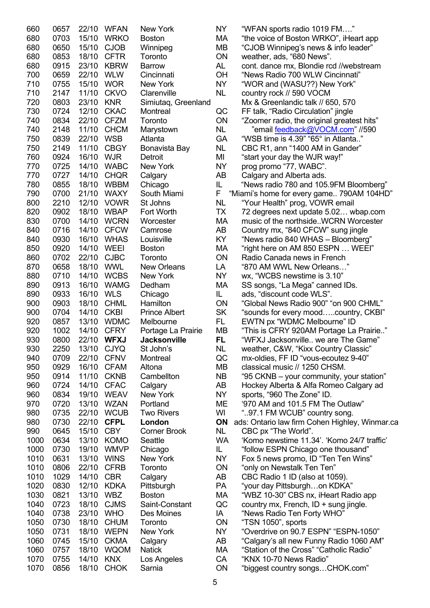| 660  | 0657 | 22/10      | WFAN        | New York             | NΥ        | "WFAN sports radio 1019 FM"                    |
|------|------|------------|-------------|----------------------|-----------|------------------------------------------------|
| 680  | 0703 | 15/10      | <b>WRKO</b> | <b>Boston</b>        | MA        | "the voice of Boston WRKO", iHeart app         |
| 680  | 0650 | 15/10      | <b>CJOB</b> | Winnipeg             | MB        | "CJOB Winnipeg's news & info leader"           |
| 680  | 0853 | 18/10      | <b>CFTR</b> | Toronto              | ON        | weather, ads, "680 News".                      |
| 680  | 0915 | 23/10      | <b>KBRW</b> | <b>Barrow</b>        | AL        | cont. dance mx, Blondie rcd //webstream        |
| 700  | 0659 | 22/10      | <b>WLW</b>  | Cincinnati           | OH        | "News Radio 700 WLW Cincinnati"                |
| 710  | 0755 | 15/10      | <b>WOR</b>  | New York             | NY.       | "WOR and (WASU??) New York"                    |
| 710  | 2147 | 11/10      | <b>CKVO</b> | Clarenville          | <b>NL</b> | country rock // 590 VOCM                       |
| 720  | 0803 | 23/10      | <b>KNR</b>  | Simiutaq, Greenland  |           | Mx & Greenlandic talk // 650, 570              |
| 730  | 0724 | 12/10      | <b>CKAC</b> | Montreal             | QC        | FF talk, "Radio Circulation" jingle            |
| 740  | 0834 | 22/10      | <b>CFZM</b> | Toronto              | ON        | "Zoomer radio, the original greatest hits"     |
| 740  | 2148 | 11/10      | <b>CHCM</b> | Marystown            | NL        | email <u>feedback@VOCM.com</u> " //590"        |
| 750  | 0839 | 22/10      | <b>WSB</b>  | Atlanta              | GA        | "WSB time is 4.39" "65° in Atlanta"            |
| 750  | 2149 | 11/10      | <b>CBGY</b> |                      | NL        |                                                |
|      |      |            |             | Bonavista Bay        |           | CBC R1, ann "1400 AM in Gander"                |
| 760  | 0924 | 16/10      | <b>WJR</b>  | Detroit              | MI        | "start your day the WJR way!"                  |
| 770  | 0725 | 14/10      | <b>WABC</b> | New York             | <b>NY</b> | prog promo "77, WABC".                         |
| 770  | 0727 | 14/10      | <b>CHQR</b> | Calgary              | AB        | Calgary and Alberta ads.                       |
| 780  | 0855 | 18/10      | <b>WBBM</b> | Chicago              | IL        | "News radio 780 and 105.9FM Bloomberg"         |
| 790  | 0700 | 21/10      | <b>WAXY</b> | South Miami          | F         | "Miami's home for every game 790AM 104HD"      |
| 800  | 2210 |            | 12/10 VOWR  | St Johns             | <b>NL</b> | "Your Health" prog, VOWR email                 |
| 820  | 0902 | 18/10      | <b>WBAP</b> | Fort Worth           | TX        | 72 degrees next update 5.02 wbap.com           |
| 830  | 0700 | 14/10      | <b>WCRN</b> | Worcester            | МA        | music of the northsideWCRN Worcester           |
| 840  | 0716 | 14/10      | <b>CFCW</b> | Camrose              | AB        | Country mx, "840 CFCW" sung jingle             |
| 840  | 0930 | 16/10      | <b>WHAS</b> | Louisville           | KY        | "News radio 840 WHAS - Bloomberg"              |
| 850  | 0920 | 14/10      | <b>WEEI</b> | <b>Boston</b>        | MA        | "right here on AM 850 ESPN  WEEI"              |
| 860  | 0702 | 22/10      | <b>CJBC</b> | Toronto              | ON        | Radio Canada news in French                    |
| 870  | 0658 | 18/10      | <b>WWL</b>  | <b>New Orleans</b>   | LA        | "870 AM WWL New Orleans"                       |
| 880  | 0710 | 14/10      | <b>WCBS</b> | New York             | <b>NY</b> | wx, "WCBS newstime is 3.10"                    |
| 890  | 0913 | 16/10      | <b>WAMG</b> | Dedham               | MA        | SS songs, "La Mega" canned IDs.                |
| 890  | 0933 | 16/10      | <b>WLS</b>  | Chicago              | IL.       | ads, "discount code WLS".                      |
| 900  | 0903 | 18/10      | <b>CHML</b> | Hamilton             | ON        | "Global News Radio 900" "on 900 CHML"          |
| 900  | 0704 | 14/10      | <b>CKBI</b> | <b>Prince Albert</b> | <b>SK</b> | "sounds for every moodcountry, CKBI"           |
| 920  | 0857 | 13/10      | <b>WDMC</b> | Melbourne            | FL.       | EWTN px "WDMC Melbourne" ID                    |
| 920  | 1002 | 14/10      | <b>CFRY</b> | Portage La Prairie   | MВ        | "This is CFRY 920AM Portage La Prairie"        |
| 930  | 0800 |            | 22/10 WFXJ  | <b>Jacksonville</b>  | <b>FL</b> | "WFXJ Jacksonville we are The Game"            |
| 930  | 2250 | 13/10 CJYQ |             | St John's            | <b>NL</b> | weather, C&W, "Kixx Country Classic"           |
| 940  | 0709 |            | 22/10 CFNV  | Montreal             | QC        | mx-oldies, FF ID "vous-ecoutez 9-40"           |
| 950  | 0929 |            | 16/10 CFAM  | Altona               | MВ        | classical music // 1250 CHSM.                  |
| 950  | 0914 | 11/10      | <b>CKNB</b> | Cambellton           | <b>NB</b> | "95 CKNB – your community, your station"       |
| 960  | 0724 | 14/10      | <b>CFAC</b> | Calgary              | AB        | Hockey Alberta & Alfa Romeo Calgary ad         |
| 960  | 0834 | 19/10      | <b>WEAV</b> | New York             | <b>NY</b> |                                                |
|      |      |            |             | Portland             |           | sports, "960 The Zone" ID.                     |
| 970  | 0720 | 13/10      | <b>WZAN</b> |                      | ME        | '970 AM and 101.5 FM The Outlaw"               |
| 980  | 0735 | 22/10      | <b>WCUB</b> | <b>Two Rivers</b>    | WI        | "97.1 FM WCUB" country song.                   |
| 980  | 0730 | 22/10      | <b>CFPL</b> | London               | ON        | ads: Ontario law firm Cohen Highley, Winmar.ca |
| 990  | 0645 | 15/10      | <b>CBY</b>  | <b>Corner Brook</b>  | <b>NL</b> | CBC px "The World".                            |
| 1000 | 0634 | 13/10      | <b>KOMO</b> | Seattle              | <b>WA</b> | 'Komo newstime 11.34'. 'Komo 24/7 traffic'     |
| 1000 | 0730 | 19/10      | <b>WMVP</b> | Chicago              | IL.       | "follow ESPN Chicago one thousand"             |
| 1010 | 0631 | 13/10      | <b>WINS</b> | New York             | <b>NY</b> | Fox 5 news promo, ID "Ten Ten Wins"            |
| 1010 | 0806 | 22/10      | <b>CFRB</b> | Toronto              | ON        | "only on Newstalk Ten Ten"                     |
| 1010 | 1029 | 14/10      | <b>CBR</b>  | Calgary              | AB        | CBC Radio 1 ID (also at 1059).                 |
| 1020 | 0830 | 12/10      | <b>KDKA</b> | Pittsburgh           | PA        | "your day Pittsburghon KDKA"                   |
| 1030 | 0821 | 13/10      | <b>WBZ</b>  | Boston               | МA        | "WBZ 10-30" CBS nx, iHeart Radio app           |
| 1040 | 0723 | 18/10      | <b>CJMS</b> | Saint-Constant       | QC        | country mx, French, ID + sung jingle.          |
| 1040 | 0738 | 23/10      | <b>WHO</b>  | Des Moines           | IA        | "News Radio Ten Forty WHO"                     |
| 1050 | 0730 | 18/10      | <b>CHUM</b> | Toronto              | <b>ON</b> | "TSN 1050", sports                             |
| 1050 | 0731 | 18/10      | <b>WEPN</b> | New York             | <b>NY</b> | "Overdrive on 90.7 ESPN" "ESPN-1050"           |
| 1060 | 0745 | 15/10      | <b>CKMA</b> | Calgary              | AB        | "Calgary's all new Funny Radio 1060 AM"        |
| 1060 | 0757 | 18/10      | <b>WQOM</b> | <b>Natick</b>        | МA        | "Station of the Cross" "Catholic Radio"        |
| 1070 | 0755 | 14/10      | <b>KNX</b>  | Los Angeles          | CA        | "KNX 10-70 News Radio"                         |
| 1070 | 0856 | 18/10      | <b>CHOK</b> | Sarnia               | ON        | "biggest country songsCHOK.com"                |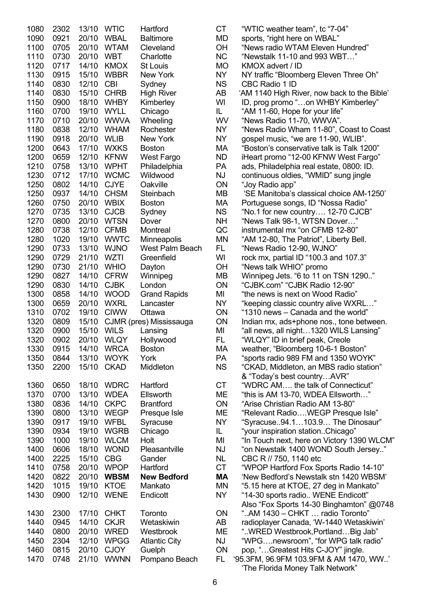| 1080 | 2302 | 13/10 | <b>WTIC</b> | Hartford                | СT        | "WTIC weather team", tc "7-04"              |
|------|------|-------|-------------|-------------------------|-----------|---------------------------------------------|
| 1090 | 0921 | 20/10 | <b>WBAL</b> | <b>Baltimore</b>        | MD        | sports, "right here on WBAL"                |
| 1100 | 0705 | 20/10 | <b>WTAM</b> | Cleveland               | OH        | "News radio WTAM Eleven Hundred"            |
| 1110 | 0730 | 20/10 | <b>WBT</b>  | Charlotte               | <b>NC</b> | "Newstalk 11-10 and 993 WBT"                |
| 1120 | 0717 | 14/10 | <b>KMOX</b> | St Louis                | <b>MO</b> | KMOX advert / ID                            |
| 1130 | 0915 | 15/10 | <b>WBBR</b> | New York                | <b>NY</b> | NY traffic "Bloomberg Eleven Three Oh"      |
| 1140 | 0830 | 12/10 | <b>CBI</b>  | Sydney                  | <b>NS</b> | CBC Radio 1 ID                              |
| 1140 | 0830 | 15/10 | <b>CHRB</b> |                         | AB        |                                             |
|      |      |       |             | <b>High River</b>       |           | 'AM 1140 High River, now back to the Bible' |
| 1150 | 0900 | 18/10 | <b>WHBY</b> | Kimberley               | WI        | ID, prog promo "on WHBY Kimberley"          |
| 1160 | 0700 | 19/10 | <b>WYLL</b> | Chicago                 | IL.       | "AM 11-60, Hope for your life"              |
| 1170 | 0710 | 20/10 | <b>WWVA</b> | Wheeling                | WV        | "News Radio 11-70, WWVA".                   |
| 1180 | 0838 | 12/10 | <b>WHAM</b> | Rochester               | NY        | "News Radio Wham 11-80", Coast to Coast     |
| 1190 | 0918 | 20/10 | <b>WLIB</b> | New York                | NY        | gospel music, "we are 11-90, WLIB".         |
| 1200 | 0643 | 17/10 | <b>WXKS</b> | <b>Boston</b>           | МA        | "Boston's conservative talk is Talk 1200"   |
| 1200 | 0659 | 12/10 | <b>KFNW</b> | West Fargo              | <b>ND</b> | iHeart promo "12-00 KFNW West Fargo"        |
| 1210 | 0758 | 13/10 | <b>WPHT</b> | Philadelphia            | PA        | ads, Philadelphia real estate, 0800: ID.    |
| 1230 | 0712 | 17/10 | <b>WCMC</b> | Wildwood                | <b>NJ</b> | continuous oldies, "WMID" sung jingle       |
| 1250 | 0802 | 14/10 | <b>CJYE</b> | Oakville                | ON        | "Joy Radio app"                             |
| 1250 | 0937 | 14/10 | <b>CHSM</b> | Steinbach               | MВ        | 'SE Manitoba's classical choice AM-1250'    |
| 1260 | 0750 | 20/10 | <b>WBIX</b> | <b>Boston</b>           | МA        | Portuguese songs, ID "Nossa Radio"          |
| 1270 | 0735 | 13/10 | <b>CJCB</b> | Sydney                  | <b>NS</b> | "No.1 for new country 12-70 CJCB"           |
| 1270 | 0800 | 20/10 | <b>WTSN</b> | Dover                   | <b>NH</b> | "News Talk 98-1, WTSN Dover"                |
| 1280 | 0738 | 12/10 | <b>CFMB</b> | Montreal                | QC        | instrumental mx "on CFMB 12-80"             |
| 1280 | 1020 | 19/10 | <b>WWTC</b> | Minneapolis             | <b>MN</b> | "AM 12-80, The Patriot", Liberty Bell.      |
| 1290 | 0733 | 13/10 | <b>WJNO</b> | West Palm Beach         | FL.       | "News Radio 12-90, WJNO"                    |
| 1290 | 0729 | 21/10 | WZTI        | Greenfield              | WI        |                                             |
|      |      |       |             |                         |           | rock mx, partial ID "100.3 and 107.3"       |
| 1290 | 0730 | 21/10 | <b>WHIO</b> | Dayton                  | <b>OH</b> | "News talk WHIO" promo                      |
| 1290 | 0827 | 14/10 | <b>CFRW</b> | Winnipeg                | MВ        | Winnipeg Jets. "6 to 11 on TSN 1290"        |
| 1290 | 0830 | 14/10 | <b>CJBK</b> | London                  | <b>ON</b> | "CJBK.com" "CJBK Radio 12-90"               |
| 1300 | 0858 | 14/10 | <b>WOOD</b> | <b>Grand Rapids</b>     | MI        | "the news is next on Wood Radio"            |
| 1300 | 0659 | 20/10 | <b>WXRL</b> | Lancaster               | NY        | "keeping classic country alive WXRL"        |
| 1310 | 0702 | 19/10 | <b>CIWW</b> | Ottawa                  | <b>ON</b> | "1310 news - Canada and the world"          |
| 1320 | 0809 | 15/10 |             | CJMR (pres) Mississauga | <b>ON</b> | Indian mx, ads+phone nos., tone between.    |
| 1320 | 0900 | 15/10 | <b>WILS</b> | Lansing                 | MI        | "all news, all night1320 WILS Lansing"      |
| 1320 | 0902 |       | 20/10 WLQY  | Hollywood               | FL        | "WLQY" ID in brief peak, Creole             |
| 1330 | 0915 |       | 14/10 WRCA  | <b>Boston</b>           | MA        | weather, "Bloomberg 10-6-1 Boston"          |
| 1350 | 0844 | 13/10 | <b>WOYK</b> | York                    | PA        | "sports radio 989 FM and 1350 WOYK"         |
| 1350 | 2200 | 15/10 | <b>CKAD</b> | Middleton               | <b>NS</b> | "CKAD, Middleton, an MBS radio station"     |
|      |      |       |             |                         |           | & "Today's best countryAVR"                 |
| 1360 | 0650 | 18/10 | <b>WDRC</b> | Hartford                | <b>CT</b> | "WDRC AM the talk of Connecticut"           |
| 1370 | 0700 | 13/10 | <b>WDEA</b> | Ellsworth               | ME        | "this is AM 13-70, WDEA Ellsworth"          |
| 1380 | 0836 | 14/10 | <b>CKPC</b> | <b>Brantford</b>        | ON        | "Arise Christian Radio AM 13-80"            |
| 1390 | 0800 | 13/10 | <b>WEGP</b> | Presque Isle            | ME        | "Relevant RadioWEGP Presque Isle"           |
| 1390 | 0917 | 19/10 | <b>WFBL</b> | Syracuse                | NY        | "Syracuse94.1103.9 The Dinosaur"            |
| 1390 | 0934 | 19/10 | <b>WGRB</b> | Chicago                 | IL.       | "your inspiration stationChicago"           |
| 1390 | 1000 | 19/10 | <b>WLCM</b> | Holt                    | MI        | "In Touch next, here on Victory 1390 WLCM"  |
|      |      |       |             |                         |           |                                             |
| 1400 | 0606 | 18/10 | <b>WOND</b> | Pleasantville           | <b>NJ</b> | "on Newstalk 1400 WOND South Jersey"        |
| 1400 | 2225 | 15/10 | <b>CBG</b>  | Gander                  | <b>NL</b> | CBC R // 750, 1140 etc                      |
| 1410 | 0758 | 20/10 | <b>WPOP</b> | Hartford                | <b>CT</b> | "WPOP Hartford Fox Sports Radio 14-10"      |
| 1420 | 0822 | 20/10 | <b>WBSM</b> | <b>New Bedford</b>      | <b>MA</b> | 'New Bedford's Newstalk stn 1420 WBSM'      |
| 1420 | 1015 | 19/10 | <b>KTOE</b> | Mankato                 | <b>MN</b> | "5.15 here at KTOE, 27 deg in Mankato"      |
| 1430 | 0900 | 12/10 | <b>WENE</b> | Endicott                | NY        | "14-30 sports radio WENE Endicott"          |
|      |      |       |             |                         |           | Also "Fox Sports 14-30 Binghamton" @0748    |
| 1430 | 2300 | 17/10 | <b>CHKT</b> | Toronto                 | ON        | "AM 1430 - CHKT  radio Toronto"             |
| 1440 | 0945 | 14/10 | <b>CKJR</b> | Wetaskiwin              | AB        | radioplayer Canada, 'W-1440 Wetaskiwin'     |
| 1440 | 0800 | 20/10 | <b>WRED</b> | Westbrook               | <b>ME</b> | "WRED Westbrook, PortlandBig Jab"           |
| 1450 | 2304 | 12/10 | <b>WPGG</b> | <b>Atlantic City</b>    | <b>NJ</b> | "WPGnewsroom", "for WPG talk radio"         |
| 1460 | 0815 | 20/10 | <b>CJOY</b> | Guelph                  | ON        | pop, "Greatest Hits C-JOY" jingle.          |
| 1470 | 0748 | 21/10 | <b>WWNN</b> | Pompano Beach           | FL.       | '95.3FM, 96.9FM 103.9FM & AM 1470, WW'      |

| 1080 | 2302         | 13/10 | <b>WTIC</b> | Hartford                | СT        | "WTIC weather team", tc "7-04"              |
|------|--------------|-------|-------------|-------------------------|-----------|---------------------------------------------|
| 1090 | 0921         | 20/10 | <b>WBAL</b> | <b>Baltimore</b>        | MD        | sports, "right here on WBAL"                |
| 1100 | 0705         | 20/10 | <b>WTAM</b> | Cleveland               | OH        | "News radio WTAM Eleven Hundred"            |
| 1110 | 0730         | 20/10 | <b>WBT</b>  | Charlotte               | <b>NC</b> | "Newstalk 11-10 and 993 WBT"                |
| 1120 | 0717         | 14/10 | <b>KMOX</b> | <b>St Louis</b>         | <b>MO</b> | KMOX advert / ID                            |
| 1130 | 0915         | 15/10 | <b>WBBR</b> | New York                | NY.       | NY traffic "Bloomberg Eleven Three Oh"      |
| 1140 | 0830         | 12/10 | <b>CBI</b>  | Sydney                  | <b>NS</b> | CBC Radio 1 ID                              |
| 1140 | 0830         | 15/10 | <b>CHRB</b> | <b>High River</b>       | AB        | 'AM 1140 High River, now back to the Bible' |
| 1150 | 0900         | 18/10 | <b>WHBY</b> | Kimberley               | WI        | ID, prog promo "on WHBY Kimberley"          |
| 1160 | 0700         | 19/10 | <b>WYLL</b> | Chicago                 | IL.       | "AM 11-60, Hope for your life"              |
| 1170 | 0710         | 20/10 | <b>WWVA</b> | Wheeling                | WV        | "News Radio 11-70, WWVA".                   |
| 1180 | 0838         | 12/10 | <b>WHAM</b> | Rochester               | NY.       | "News Radio Wham 11-80", Coast to Coast     |
| 1190 | 0918         | 20/10 | <b>WLIB</b> | New York                | NY        | gospel music, "we are 11-90, WLIB".         |
| 1200 | 0643         | 17/10 | <b>WXKS</b> | <b>Boston</b>           | МA        | "Boston's conservative talk is Talk 1200"   |
| 1200 | 0659         | 12/10 | <b>KFNW</b> | West Fargo              | <b>ND</b> | iHeart promo "12-00 KFNW West Fargo"        |
| 1210 | 0758         | 13/10 | <b>WPHT</b> | Philadelphia            | PA        | ads, Philadelphia real estate, 0800: ID.    |
| 1230 | 0712         | 17/10 | <b>WCMC</b> | Wildwood                | NJ        | continuous oldies, "WMID" sung jingle       |
| 1250 | 0802         | 14/10 | <b>CJYE</b> | Oakville                | ON        | "Joy Radio app"                             |
| 1250 | 0937         | 14/10 | <b>CHSM</b> | Steinbach               | MВ        |                                             |
| 1260 |              | 20/10 | <b>WBIX</b> |                         |           | 'SE Manitoba's classical choice AM-1250'    |
|      | 0750<br>0735 |       | 13/10 CJCB  | <b>Boston</b>           | МA        | Portuguese songs, ID "Nossa Radio"          |
| 1270 |              |       |             | Sydney                  | <b>NS</b> | "No.1 for new country 12-70 CJCB"           |
| 1270 | 0800         |       | 20/10 WTSN  | Dover                   | <b>NH</b> | "News Talk 98-1, WTSN Dover"                |
| 1280 | 0738         | 12/10 | <b>CFMB</b> | Montreal                | QC        | instrumental mx "on CFMB 12-80"             |
| 1280 | 1020         | 19/10 | <b>WWTC</b> | Minneapolis             | MN        | "AM 12-80, The Patriot", Liberty Bell.      |
| 1290 | 0733         | 13/10 | <b>WJNO</b> | West Palm Beach         | FL.       | "News Radio 12-90, WJNO"                    |
| 1290 | 0729         | 21/10 | <b>WZTI</b> | Greenfield              | WI        | rock mx, partial ID "100.3 and 107.3"       |
| 1290 | 0730         | 21/10 | <b>WHIO</b> | Dayton                  | OH        | "News talk WHIO" promo                      |
| 1290 | 0827         | 14/10 | <b>CFRW</b> | Winnipeg                | МB        | Winnipeg Jets. "6 to 11 on TSN 1290"        |
| 1290 | 0830         | 14/10 | <b>CJBK</b> | London                  | ON        | "CJBK.com" "CJBK Radio 12-90"               |
| 1300 | 0858         | 14/10 | <b>WOOD</b> | <b>Grand Rapids</b>     | MI        | "the news is next on Wood Radio"            |
| 1300 | 0659         | 20/10 | <b>WXRL</b> | Lancaster               | NY.       | "keeping classic country alive WXRL"        |
| 1310 | 0702         | 19/10 | <b>CIWW</b> | Ottawa                  | ON        | "1310 news – Canada and the world"          |
| 1320 | 0809         | 15/10 |             | CJMR (pres) Mississauga | ON        | Indian mx, ads+phone nos., tone between.    |
| 1320 | 0900         | 15/10 | <b>WILS</b> | Lansing                 | MI        | "all news, all night…1320 WILS Lansing"     |
| 1320 | 0902         | 20/10 | <b>WLQY</b> | Hollywood               | FL        | "WLQY" ID in brief peak, Creole             |
| 1330 | 0915         |       | 14/10 WRCA  | <b>Boston</b>           | МA        | weather, "Bloomberg 10-6-1 Boston"          |
| 1350 | 0844         | 13/10 | WOYK        | York                    | PA        | "sports radio 989 FM and 1350 WOYK"         |
| 1350 | 2200         | 15/10 | <b>CKAD</b> | Middleton               | <b>NS</b> | "CKAD, Middleton, an MBS radio station"     |
|      |              |       |             |                         |           | & "Today's best countryAVR"                 |
| 1360 | 0650         |       | 18/10 WDRC  | Hartford                | <b>CT</b> | "WDRC AM the talk of Connecticut"           |
| 1370 | 0700         | 13/10 | <b>WDEA</b> | Ellsworth               | ME        | "this is AM 13-70, WDEA Ellsworth"          |
| 1380 | 0836         | 14/10 | <b>CKPC</b> | <b>Brantford</b>        | ON        | "Arise Christian Radio AM 13-80"            |
| 1390 | 0800         | 13/10 | <b>WEGP</b> | Presque Isle            | ME        | "Relevant RadioWEGP Presque Isle"           |
| 1390 | 0917         | 19/10 | <b>WFBL</b> | Syracuse                | NY        | "Syracuse94.1103.9 The Dinosaur"            |
| 1390 | 0934         | 19/10 | <b>WGRB</b> | Chicago                 | IL.       | "your inspiration stationChicago"           |
| 1390 | 1000         | 19/10 | <b>WLCM</b> | Holt                    | MI        | "In Touch next, here on Victory 1390 WLCM"  |
| 1400 | 0606         | 18/10 | <b>WOND</b> | Pleasantville           | NJ        | "on Newstalk 1400 WOND South Jersey"        |
| 1400 | 2225         | 15/10 | <b>CBG</b>  | Gander                  | <b>NL</b> | CBC R // 750, 1140 etc                      |
| 1410 | 0758         | 20/10 | <b>WPOP</b> | Hartford                | <b>CT</b> | "WPOP Hartford Fox Sports Radio 14-10"      |
| 1420 | 0822         | 20/10 | <b>WBSM</b> | <b>New Bedford</b>      | MA        | 'New Bedford's Newstalk stn 1420 WBSM'      |
| 1420 | 1015         | 19/10 | <b>KTOE</b> | Mankato                 | MN        | "5.15 here at KTOE, 27 deg in Mankato"      |
| 1430 | 0900         | 12/10 | <b>WENE</b> | Endicott                | <b>NY</b> | "14-30 sports radio WENE Endicott"          |
|      |              |       |             |                         |           | Also "Fox Sports 14-30 Binghamton" @0748    |
| 1430 | 2300         | 17/10 | <b>CHKT</b> | Toronto                 | ON        | "AM 1430 - CHKT  radio Toronto"             |
| 1440 | 0945         | 14/10 | <b>CKJR</b> | Wetaskiwin              | AB        | radioplayer Canada, 'W-1440 Wetaskiwin'     |
| 1440 | 0800         | 20/10 | <b>WRED</b> | Westbrook               | ME        | "WRED Westbrook, PortlandBig Jab"           |
| 1450 | 2304         | 12/10 | <b>WPGG</b> | <b>Atlantic City</b>    | NJ        | "WPGnewsroom", "for WPG talk radio"         |
| 1460 | 0815         | 20/10 | <b>CJOY</b> | Guelph                  | ON        | pop, "Greatest Hits C-JOY" jingle.          |
| 1470 | 0748         | 21/10 | <b>WWNN</b> | Pompano Beach           | FL        | '95.3FM, 96.9FM 103.9FM & AM 1470, WW'      |
|      |              |       |             |                         |           | 'The Florida Money Talk Network"            |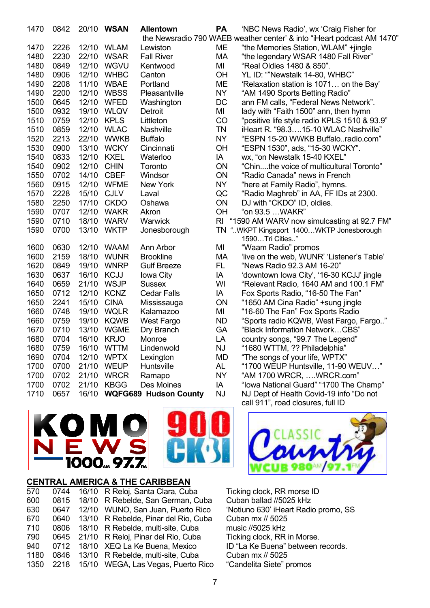| 1470 | 0842 |       | 20/10 WSAN  | <b>Allentown</b>             | <b>PA</b> | 'NBC News Radio', wx 'Craig Fisher for<br>the Newsradio 790 WAEB weather center' & into "iHeart podcast AM 1470" |
|------|------|-------|-------------|------------------------------|-----------|------------------------------------------------------------------------------------------------------------------|
| 1470 | 2226 | 12/10 | <b>WLAM</b> | Lewiston                     | MЕ        |                                                                                                                  |
| 1480 | 2230 | 22/10 | <b>WSAR</b> | <b>Fall River</b>            | МA        | "the Memories Station, WLAM" +jingle<br>"the legendary WSAR 1480 Fall River"                                     |
| 1480 | 0849 | 12/10 | <b>WGVU</b> | Kentwood                     | MI        | "Real Oldies 1480 & 850".                                                                                        |
| 1480 | 0906 | 12/10 | <b>WHBC</b> | Canton                       | OH        | YL ID: ""Newstalk 14-80, WHBC"                                                                                   |
| 1490 | 2208 | 11/10 | <b>WBAE</b> | Portland                     | <b>ME</b> | 'Relaxation station is 1071 on the Bay'                                                                          |
| 1490 | 2200 | 12/10 | <b>WBSS</b> | Pleasantville                | <b>NY</b> | "AM 1490 Sports Betting Radio"                                                                                   |
| 1500 | 0645 | 12/10 | <b>WFED</b> | Washington                   | DC        | ann FM calls, "Federal News Network".                                                                            |
| 1500 | 0932 | 19/10 | <b>WLQV</b> | Detroit                      | MI        | lady with "Faith 1500" ann, then hymn                                                                            |
| 1510 | 0759 | 12/10 | <b>KPLS</b> | Littleton                    | CO        | "positive life style radio KPLS 1510 & 93.9"                                                                     |
| 1510 | 0859 | 12/10 | <b>WLAC</b> | Nashville                    | <b>TN</b> | iHeart R. "98.315-10 WLAC Nashville"                                                                             |
| 1520 | 2213 | 22/10 | <b>WWKB</b> | <b>Buffalo</b>               | <b>NY</b> | "ESPN 15-20 WWKB Buffaloradio.com"                                                                               |
| 1530 | 0900 | 13/10 | <b>WCKY</b> | Cincinnati                   | OH        | "ESPN 1530", ads, "15-30 WCKY".                                                                                  |
| 1540 | 0833 | 12/10 | <b>KXEL</b> | Waterloo                     | IA        | wx, "on Newstalk 15-40 KXEL"                                                                                     |
| 1540 | 0902 | 12/10 | <b>CHIN</b> | Toronto                      | ON        | "Chinthe voice of multicultural Toronto"                                                                         |
| 1550 | 0702 | 14/10 | <b>CBEF</b> | Windsor                      | ON        | "Radio Canada" news in French                                                                                    |
| 1560 | 0915 | 12/10 | <b>WFME</b> | New York                     | <b>NY</b> | "here at Family Radio", hymns.                                                                                   |
| 1570 | 2228 | 15/10 | <b>CJLV</b> | Laval                        | QC        | "Radio Maghreb" in AA, FF IDs at 2300.                                                                           |
| 1580 | 2250 | 17/10 | <b>CKDO</b> | Oshawa                       | ON        | DJ with "CKDO" ID, oldies.                                                                                       |
| 1590 | 0707 | 12/10 | <b>WAKR</b> | Akron                        | OH        | "on 93.5 WAKR"                                                                                                   |
| 1590 | 0710 | 18/10 | <b>WARV</b> | Warwick                      | <b>RI</b> | "1590 AM WARV now simulcasting at 92.7 FM"                                                                       |
| 1590 | 0700 | 13/10 | <b>WKTP</b> | Jonesborough                 |           | TN "WKPT Kingsport 1400WKTP Jonesborough                                                                         |
|      |      |       |             |                              |           | 1590Tri Cities"                                                                                                  |
| 1600 | 0630 | 12/10 | <b>WAAM</b> | Ann Arbor                    | MI        | "Waam Radio" promos                                                                                              |
| 1600 | 2159 | 18/10 | <b>WUNR</b> | <b>Brookline</b>             | МA        | 'live on the web, WUNR' 'Listener's Table'                                                                       |
| 1620 | 0849 | 19/10 | <b>WNRP</b> | <b>Gulf Breeze</b>           | FL.       | "News Radio 92.3 AM 16-20"                                                                                       |
| 1630 | 0637 | 16/10 | <b>KCJJ</b> | Iowa City                    | IA        | 'downtown Iowa City', '16-30 KCJJ' jingle                                                                        |
| 1640 | 0659 | 21/10 | <b>WSJP</b> | <b>Sussex</b>                | WI        | "Relevant Radio, 1640 AM and 100.1 FM"                                                                           |
| 1650 | 0712 | 12/10 | <b>KCNZ</b> | <b>Cedar Falls</b>           | ΙA        | Fox Sports Radio, "16-50 The Fan"                                                                                |
| 1650 | 2241 | 15/10 | <b>CINA</b> | Mississauga                  | ON        | "1650 AM Cina Radio" +sung jingle                                                                                |
| 1660 | 0748 | 19/10 | <b>WQLR</b> | Kalamazoo                    | MI        | "16-60 The Fan" Fox Sports Radio                                                                                 |
| 1660 | 0759 | 19/10 | <b>KQWB</b> | <b>West Fargo</b>            | <b>ND</b> | "Sports radio KQWB, West Fargo, Fargo"                                                                           |
| 1670 | 0710 | 13/10 | <b>WGME</b> | Dry Branch                   | GA        | "Black Information NetworkCBS"                                                                                   |
| 1680 | 0704 | 16/10 | <b>KRJO</b> | Monroe                       | LA        | country songs, "99.7 The Legend"                                                                                 |
| 1680 | 0759 |       | 16/10 WTTM  | Lindenwold                   | <b>NJ</b> | "1680 WTTM, ?? Philadelphia"                                                                                     |
| 1690 | 0704 | 12/10 | <b>WPTX</b> | Lexington                    | MD        | "The songs of your life, WPTX"                                                                                   |
| 1700 | 0700 | 21/10 | <b>WEUP</b> | Huntsville                   | AL        | "1700 WEUP Huntsville, 11-90 WEUV"                                                                               |
| 1700 | 0702 | 21/10 | <b>WRCR</b> | Ramapo                       | <b>NY</b> | "AM 1700 WRCR, WRCR.com"                                                                                         |
| 1700 | 0702 | 21/10 | <b>KBGG</b> | Des Moines                   | IA        | "Iowa National Guard" "1700 The Champ"                                                                           |
| 1710 | 0657 | 16/10 |             | <b>WQFG689 Hudson County</b> | <b>NJ</b> | NJ Dept of Health Covid-19 info "Do not                                                                          |
|      |      |       |             |                              |           | call 911", road closures, full ID                                                                                |





# **CENTRAL AMERICA & THE CARIBBEAN**

| 570  | 0744 | 16/10 R Reloj, Santa Clara, Cuba     |
|------|------|--------------------------------------|
| 600  | 0815 | 18/10 R Rebelde, San German, Cuba    |
| 630  | 0647 | 12/10 WUNO, San Juan, Puerto Rico    |
| 670  | 0640 | 13/10 R Rebelde, Pinar del Rio, Cuba |
| 710  | 0806 | 18/10 R Rebelde, multi-site, Cuba    |
| 790  | 0645 | 21/10 R Reloj, Pinar del Rio, Cuba   |
| 940  | 0712 | 18/10 XEQ La Ke Buena, Mexico        |
| 1180 | 0846 | 13/10 R Rebelde, multi-site, Cuba    |
| 1350 | 2218 | 15/10 WEGA, Las Vegas, Puerto Rico   |
|      |      |                                      |



Ticking clock, RR morse ID Cuban ballad //5025 kHz 'Notiuno 630' iHeart Radio promo, SS Cuban mx // 5025 music //5025 kHz Ticking clock, RR in Morse. ID "La Ke Buena" between records. Cuban mx // 5025 "Candelita Siete" promos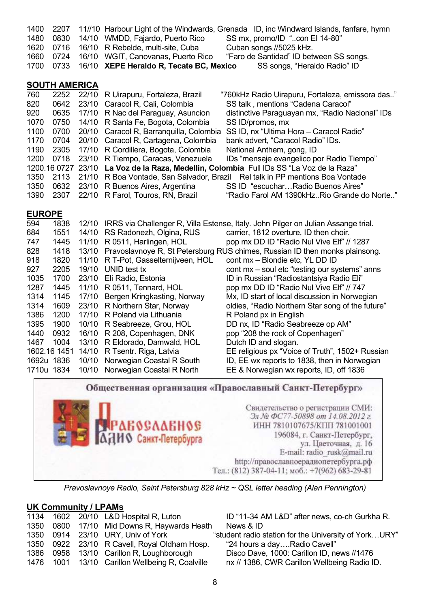| 1400 | 2207                 |       |                                           | 11//10 Harbour Light of the Windwards, Grenada ID, inc Windward Islands, fanfare, hymn |
|------|----------------------|-------|-------------------------------------------|----------------------------------------------------------------------------------------|
| 1480 | 0830                 |       | 14/10 WMDD, Fajardo, Puerto Rico          | SS mx, promo/ID "con El 14-80"                                                         |
| 1620 | 0716                 | 16/10 | R Rebelde, multi-site, Cuba               | Cuban songs //5025 kHz.                                                                |
| 1660 | 0724                 | 16/10 | WGIT, Canovanas, Puerto Rico              | "Faro de Santidad" ID between SS songs.                                                |
| 1700 | 0733                 | 16/10 | XEPE Heraldo R, Tecate BC, Mexico         | SS songs, "Heraldo Radio" ID                                                           |
|      |                      |       |                                           |                                                                                        |
|      | <b>SOUTH AMERICA</b> |       |                                           |                                                                                        |
| 760  | 2252                 | 22/10 | R Uirapuru, Fortaleza, Brazil             | "760kHz Radio Uirapuru, Fortaleza, emissora das"                                       |
| 820  | 0642                 |       | 23/10 Caracol R, Cali, Colombia           | SS talk, mentions "Cadena Caracol"                                                     |
| 920  | 0635                 | 17/10 | R Nac del Paraguay, Asuncion              | distinctive Paraguayan mx, "Radio Nacional" IDs                                        |
| 1070 | 0750                 | 14/10 | R Santa Fe, Bogota, Colombia              | SS ID/promos, mx                                                                       |
| 1100 | 0700                 |       | 20/10 Caracol R, Barranguilla, Colombia   | SS ID, nx "Ultima Hora - Caracol Radio"                                                |
| 1170 | 0704                 |       | 20/10 Caracol R, Cartagena, Colombia      | bank advert, "Caracol Radio" IDs.                                                      |
| 1190 | 2305                 | 17/10 | R Cordillera, Bogota, Colombia            | National Anthem, gong, ID                                                              |
| 1200 | 0718                 | 23/10 | R Tiempo, Caracas, Venezuela              | IDs "mensaje evangelico por Radio Tiempo"                                              |
|      | 1200.16 0727         |       |                                           | 23/10 La Voz de la Raza, Medellin, Colombia Full IDs SS "La Voz de la Raza"            |
| 1350 | 2113                 |       | 21/10 R Boa Vontade, San Salvador, Brazil | Rel talk in PP mentions Boa Vontade                                                    |
| 1350 | 0632                 |       | 23/10 R Buenos Aires, Argentina           | SS ID "escucharRadio Buenos Aires"                                                     |
| 1390 | 2307                 |       | 22/10 R Farol, Touros, RN, Brazil         | "Radio Farol AM 1390kHzRio Grande do Norte"                                            |
|      |                      |       |                                           |                                                                                        |

## **EUROPE**

| 594        | 1838         | 12/10 |                                | IRRS via Challenger R, Villa Estense, Italy. John Pilger on Julian Assange trial. |
|------------|--------------|-------|--------------------------------|-----------------------------------------------------------------------------------|
| 684        | 1551         | 14/10 | RS Radonezh, Olgina, RUS       | carrier, 1812 overture, ID then choir.                                            |
| 747        | 1445         | 11/10 | R 0511, Harlingen, HOL         | pop mx DD ID "Radio Nul Vive Elf" // 1287                                         |
| 828        | 1418         | 13/10 |                                | Pravoslavnoye R, St Petersburg RUS chimes, Russian ID then monks plainsong.       |
| 918        | 1820         | 11/10 | R T-Pot, Gasselternijveen, HOL | cont mx - Blondie etc, YL DD ID                                                   |
| 927        | 2205         | 19/10 | UNID test tx                   | cont mx – soul etc "testing our systems" anns                                     |
| 1035       | 1700         | 23/10 | Eli Radio, Estonia             | ID in Russian "Radiostantsiya Radio Eli"                                          |
| 1287       | 1445         | 11/10 | R 0511, Tennard, HOL           | pop mx DD ID "Radio Nul Vive Elf" // 747                                          |
| 1314       | 1145         | 17/10 | Bergen Kringkasting, Norway    | Mx, ID start of local discussion in Norwegian                                     |
| 1314       | 1609         | 23/10 | R Northern Star, Norway        | oldies, "Radio Northern Star song of the future"                                  |
| 1386       | 1200         | 17/10 | R Poland via Lithuania         | R Poland px in English                                                            |
| 1395       | 1900         | 10/10 | R Seabreeze, Grou, HOL         | DD nx, ID "Radio Seabreeze op AM"                                                 |
| 1440       | 0932         | 16/10 | R 208, Copenhagen, DNK         | pop "208 the rock of Copenhagen"                                                  |
| 1467       | 1004         | 13/10 | R Eldorado, Damwald, HOL       | Dutch ID and slogan.                                                              |
|            | 1602.16 1451 | 14/10 | R Tsentr. Riga, Latvia         | EE religious px "Voice of Truth", 1502+ Russian                                   |
|            | 1692u 1836   | 10/10 | Norwegian Coastal R South      | ID, EE wx reports to 1838, then in Norwegian                                      |
| 1710u 1834 |              | 10/10 | Norwegian Coastal R North      | EE & Norwegian wx reports, ID, off 1836                                           |

Общественная организация «Православный Санкт-Петербург» Свидетельство о регистрации СМИ: Эл № ФС77-50898 от 14.08.2012 г. **абослаеное** ИНН 7810107675/КПП 781001001 **ИО** Санкт-Петербурга 196084, г. Санкт-Петербург, ул. Цветочная, д. 16 E-mail: radio\_rusk@mail.ru http://православноерадиопетербурга.рф Тел.: (812) 387-04-11; моб.: +7(962) 683-29-81 *Pravoslavnoye Radio, Saint Petersburg 828 kHz ~ QSL letter heading (Alan Pennington)* 

# **UK Community / LPAMs**

|  | 1134 1602 20/10 L&D Hospital R, Luton           | ID "11-34 A      |
|--|-------------------------------------------------|------------------|
|  | 1350 0800 17/10 Mid Downs R, Haywards Heath     | News & ID        |
|  | 1350 0914 23/10 URY, Univ of York               | "student radio s |
|  | 1350 0922 23/10 R Cavell, Royal Oldham Hosp.    | "24 hours a      |
|  | 1386 0958 13/10 Carillon R, Loughborough        | Disco Dave       |
|  | 1476 1001 13/10 Carillon Wellbeing R, Coalville | nx // 1386,      |
|  |                                                 |                  |

1-34 AM L&D" after news, co-ch Gurkha R.<br>s & ID radio station for the University of York…URY" ours a day....Radio Cavell" Dave, 1000: Carillon ID, news //1476

1386, CWR Carillon Wellbeing Radio ID.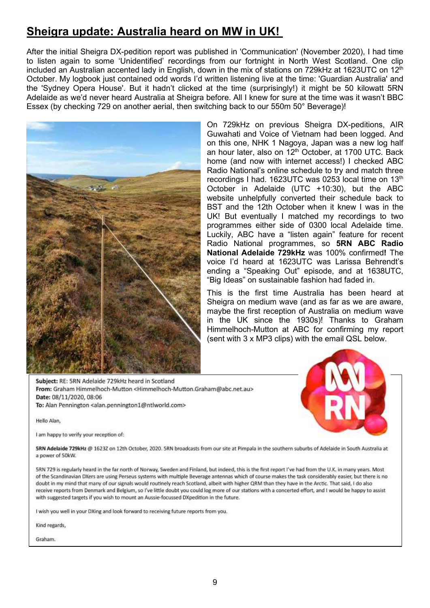# **Sheigra update: Australia heard on MW in UK!**

After the initial Sheigra DX-pedition report was published in 'Communication' (November 2020), I had time to listen again to some 'Unidentified' recordings from our fortnight in North West Scotland. One clip included an Australian accented lady in English, down in the mix of stations on 729kHz at 1623UTC on 12 $^{\text{th}}$ October. My logbook just contained odd words I'd written listening live at the time: 'Guardian Australia' and the 'Sydney Opera House'. But it hadn't clicked at the time (surprisingly!) it might be 50 kilowatt 5RN Adelaide as we'd never heard Australia at Sheigra before. All I knew for sure at the time was it wasn't BBC Essex (by checking 729 on another aerial, then switching back to our 550m 50° Beverage)!



On 729kHz on previous Sheigra DX-peditions, AIR Guwahati and Voice of Vietnam had been logged. And on this one, NHK 1 Nagoya, Japan was a new log half an hour later, also on  $12<sup>th</sup>$  October, at 1700 UTC. Back home (and now with internet access!) I checked ABC Radio National's online schedule to try and match three recordings I had. 1623UTC was 0253 local time on 13<sup>th</sup> October in Adelaide (UTC +10:30), but the ABC website unhelpfully converted their schedule back to BST and the 12th October when it knew I was in the UK! But eventually I matched my recordings to two programmes either side of 0300 local Adelaide time. Luckily, ABC have a "listen again" feature for recent Radio National programmes, so **5RN ABC Radio National Adelaide 729kHz** was 100% confirmed**!** The voice I'd heard at 1623UTC was Larissa Behrendt's ending a "Speaking Out" episode, and at 1638UTC, "Big Ideas" on sustainable fashion had faded in.

This is the first time Australia has been heard at Sheigra on medium wave (and as far as we are aware, maybe the first reception of Australia on medium wave in the UK since the 1930s)! Thanks to Graham Himmelhoch-Mutton at ABC for confirming my report (sent with 3 x MP3 clips) with the email QSL below.

Subject: RE: 5RN Adelaide 729kHz heard in Scotland From: Graham Himmelhoch-Mutton <Himmelhoch-Mutton.Graham@abc.net.au> Date: 08/11/2020, 08:06 To: Alan Pennington <alan.pennington1@ntlworld.com>

Hello Alan,

I am happy to verify your reception of:



SRN Adelaide 729kHz @ 16237 on 12th October, 2020. SRN broadcasts from our site at Pimpala in the southern suburbs of Adelaide in South Australia at a power of 50kW.

5RN 729 is regularly heard in the far north of Norway, Sweden and Finland, but indeed, this is the first report I've had from the U.K. in many years. Most of the Scandinavian DXers are using Perseus systems with multiple Beverage antennas which of course makes the task considerably easier, but there is no doubt in my mind that many of our signals would routinely reach Scotland, albeit with higher QRM than they have in the Arctic. That said, I do also receive reports from Denmark and Belgium, so I've little doubt you could log more of our stations with a concerted effort, and I would be happy to assist with suggested targets if you wish to mount an Aussie-focussed DXpedition in the future.

I wish you well in your DXing and look forward to receiving future reports from you.

Kind regards,

Graham.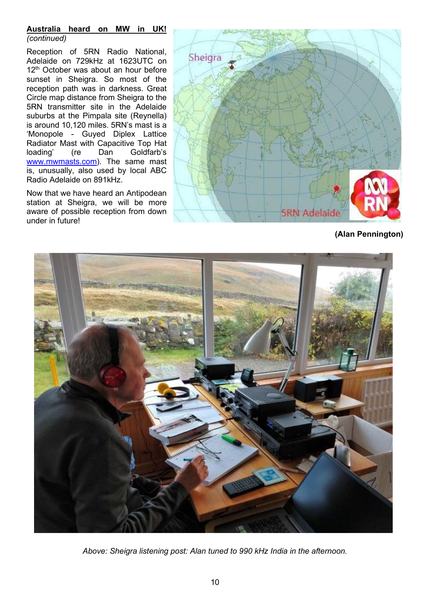### **Australia heard on MW in UK!**  *(continued)*

Reception of 5RN Radio National, Adelaide on 729kHz at 1623UTC on 12<sup>th</sup> October was about an hour before sunset in Sheigra. So most of the reception path was in darkness. Great Circle map distance from Sheigra to the 5RN transmitter site in the Adelaide suburbs at the Pimpala site (Reynella) is around 10,120 miles. 5RN's mast is a 'Monopole - Guyed Diplex Lattice Radiator Mast with Capacitive Top Hat loading' (re Dan Goldfarb's www.mwmasts.com). The same mast is, unusually, also used by local ABC Radio Adelaide on 891kHz.

Now that we have heard an Antipodean station at Sheigra, we will be more aware of possible reception from down under in future!



**(Alan Pennington)** 



*Above: Sheigra listening post: Alan tuned to 990 kHz India in the afternoon.*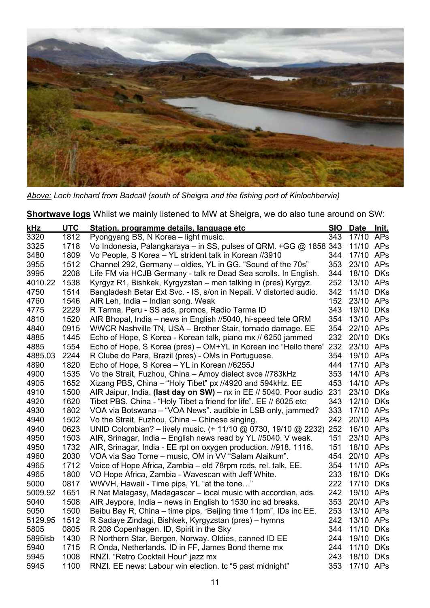

*Above: Loch Inchard from Badcall (south of Sheigra and the fishing port of Kinlochbervie)* 

**Shortwave logs** Whilst we mainly listened to MW at Sheigra, we do also tune around on SW:

| kHz     | <b>UTC</b> | Station, programme details, language etc                           | <b>SIO</b> | Date Init. |            |
|---------|------------|--------------------------------------------------------------------|------------|------------|------------|
| 3320    | 1812       | Pyongyang BS, N Korea – light music.                               | 343        | 17/10 APs  |            |
| 3325    | 1718       | Vo Indonesia, Palangkaraya - in SS, pulses of QRM. +GG @ 1858 343  |            | 11/10 APs  |            |
| 3480    | 1809       | Vo People, S Korea - YL strident talk in Korean //3910             | 344        | 17/10 APs  |            |
| 3955    | 1512       | Channel 292, Germany – oldies, YL in GG. "Sound of the 70s"        | 353        | 23/10 APs  |            |
| 3995    | 2208       | Life FM via HCJB Germany - talk re Dead Sea scrolls. In English.   | 344        | 18/10      | <b>DKs</b> |
| 4010.22 | 1538       | Kyrgyz R1, Bishkek, Kyrgyzstan – men talking in (pres) Kyrgyz.     | 252        | 13/10 APs  |            |
| 4750    | 1514       | Bangladesh Betar Ext Svc. - IS, s/on in Nepali. V distorted audio. | 342        | 11/10      | <b>DKs</b> |
| 4760    | 1546       | AIR Leh, India - Indian song. Weak                                 | 152        | 23/10 APs  |            |
| 4775    | 2229       | R Tarma, Peru - SS ads, promos, Radio Tarma ID                     | 343        | 19/10      | <b>DKs</b> |
| 4810    | 1520       | AIR Bhopal, India - news in English //5040, hi-speed tele QRM      | 354        | 13/10 APs  |            |
| 4840    | 0915       | WWCR Nashville TN, USA - Brother Stair, tornado damage. EE         | 354        | 22/10      | APs        |
| 4885    | 1445       | Echo of Hope, S Korea - Korean talk, piano mx // 6250 jammed       | 232        | 20/10      | <b>DKs</b> |
| 4885    | 1554       | Echo of Hope, S Korea (pres) – OM+YL in Korean inc "Hello there"   | 232        | 23/10 APs  |            |
| 4885.03 | 2244       | R Clube do Para, Brazil (pres) - OMs in Portuguese.                | 354        | 19/10 APs  |            |
| 4890    | 1820       | Echo of Hope, S Korea - YL in Korean //6255J                       | 444        | 17/10 APs  |            |
| 4900    | 1535       | Vo the Strait, Fuzhou, China - Amoy dialect svce //783kHz          | 353        | 14/10 APs  |            |
| 4905    | 1652       | Xizang PBS, China - "Holy Tibet" px //4920 and 594kHz. EE          | 453        | 14/10 APs  |            |
| 4910    | 1500       | AIR Jaipur, India. (last day on SW) - nx in EE // 5040. Poor audio | 231        | 23/10      | <b>DKs</b> |
| 4920    | 1620       | Tibet PBS, China - "Holy Tibet a friend for life". EE // 6025 etc  | 343        | 12/10 DKs  |            |
| 4930    | 1802       | VOA via Botswana - "VOA News". audible in LSB only, jammed?        | 333        | 17/10 APs  |            |
| 4940    | 1502       | Vo the Strait, Fuzhou, China - Chinese singing.                    | 242        | 20/10 APs  |            |
| 4940    | 0623       | UNID Colombian? - lively music. (+ 11/10 @ 0730, 19/10 @ 2232)     | 252        | 16/10 APs  |            |
| 4950    | 1503       | AIR, Srinagar, India – English news read by YL //5040. V weak.     | 151        | 23/10 APs  |            |
| 4950    | 1732       | AIR, Srinagar, India - EE rpt on oxygen production. //918, 1116.   | 151        | 18/10 APs  |            |
| 4960    | 2030       | VOA via Sao Tome - music, OM in VV "Salam Alaikum".                | 454        | 20/10      | APs        |
| 4965    | 1712       | Voice of Hope Africa, Zambia – old 78rpm rcds, rel. talk, EE.      | 354        | 11/10      | APs        |
| 4965    | 1800       | VO Hope Africa, Zambia - Wavescan with Jeff White.                 | 233        | 18/10      | <b>DKs</b> |
| 5000    | 0817       | WWVH, Hawaii - Time pips, YL "at the tone"                         | 222        | 17/10      | <b>DKs</b> |
| 5009.92 | 1651       | R Nat Malagasy, Madagascar – local music with accordian, ads.      | 242        | 19/10      | APs        |
| 5040    | 1508       | AIR Jeypore, India - news in English to 1530 inc ad breaks.        | 353        | 20/10      | APs        |
| 5050    | 1500       | Beibu Bay R, China – time pips, "Beijing time 11pm", IDs inc EE.   | 253        | 13/10      | APs        |
| 5129.95 | 1512       | R Sadaye Zindagi, Bishkek, Kyrgyzstan (pres) - hymns               | 242        | 13/10      | APs        |
| 5805    | 0805       | R 208 Copenhagen. ID, Spirit in the Sky                            | 344        | 11/10      | <b>DKs</b> |
| 5895lsb | 1430       | R Northern Star, Bergen, Norway. Oldies, canned ID EE              | 244        | 19/10      | <b>DKs</b> |
| 5940    | 1715       | R Onda, Netherlands. ID in FF, James Bond theme mx                 | 244        | 11/10      | <b>DKs</b> |
| 5945    | 1008       | RNZI. "Retro Cocktail Hour" jazz mx                                | 243        | 18/10 DKs  |            |
| 5945    | 1100       | RNZI. EE news: Labour win election. tc "5 past midnight"           | 353        | 17/10 APs  |            |